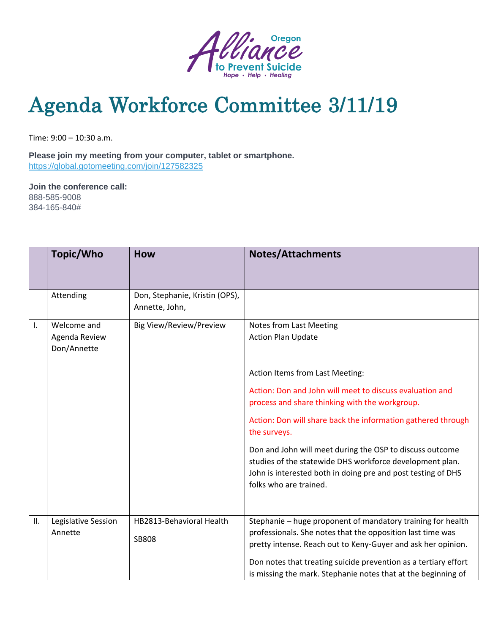

## Agenda Workforce Committee 3/11/19

Time: 9:00 – 10:30 a.m.

**Please join my meeting from your computer, tablet or smartphone.** <https://global.gotomeeting.com/join/127582325>

**Join the conference call:** 888-585-9008 384-165-840#

|                | Topic/Who                                   | <b>How</b>                                       | <b>Notes/Attachments</b>                                                                                                                                                                                                                                                                                                      |  |  |
|----------------|---------------------------------------------|--------------------------------------------------|-------------------------------------------------------------------------------------------------------------------------------------------------------------------------------------------------------------------------------------------------------------------------------------------------------------------------------|--|--|
|                | Attending                                   | Don, Stephanie, Kristin (OPS),<br>Annette, John, |                                                                                                                                                                                                                                                                                                                               |  |  |
| $\mathbf{I}$ . | Welcome and<br>Agenda Review<br>Don/Annette | <b>Big View/Review/Preview</b>                   | Notes from Last Meeting<br><b>Action Plan Update</b><br>Action Items from Last Meeting:                                                                                                                                                                                                                                       |  |  |
|                |                                             |                                                  | Action: Don and John will meet to discuss evaluation and<br>process and share thinking with the workgroup.                                                                                                                                                                                                                    |  |  |
|                |                                             |                                                  | Action: Don will share back the information gathered through<br>the surveys.                                                                                                                                                                                                                                                  |  |  |
|                |                                             |                                                  | Don and John will meet during the OSP to discuss outcome<br>studies of the statewide DHS workforce development plan.<br>John is interested both in doing pre and post testing of DHS<br>folks who are trained.                                                                                                                |  |  |
| ΙΙ.            | Legislative Session<br>Annette              | HB2813-Behavioral Health<br><b>SB808</b>         | Stephanie - huge proponent of mandatory training for health<br>professionals. She notes that the opposition last time was<br>pretty intense. Reach out to Keny-Guyer and ask her opinion.<br>Don notes that treating suicide prevention as a tertiary effort<br>is missing the mark. Stephanie notes that at the beginning of |  |  |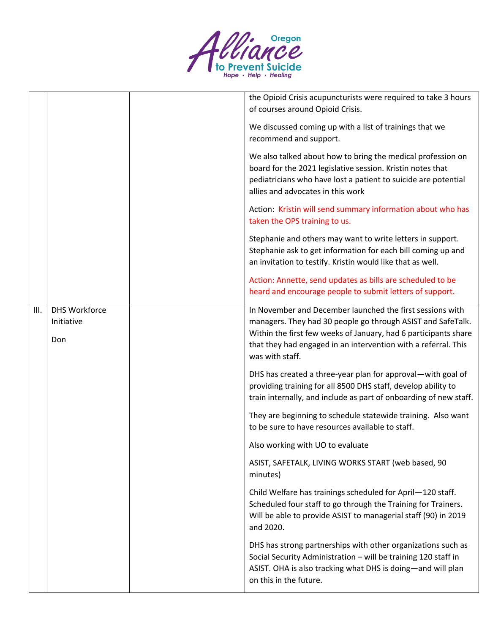

|      |                                           | the Opioid Crisis acupuncturists were required to take 3 hours<br>of courses around Opioid Crisis.                                                                                                                                                                               |
|------|-------------------------------------------|----------------------------------------------------------------------------------------------------------------------------------------------------------------------------------------------------------------------------------------------------------------------------------|
|      |                                           | We discussed coming up with a list of trainings that we<br>recommend and support.                                                                                                                                                                                                |
|      |                                           | We also talked about how to bring the medical profession on<br>board for the 2021 legislative session. Kristin notes that<br>pediatricians who have lost a patient to suicide are potential<br>allies and advocates in this work                                                 |
|      |                                           | Action: Kristin will send summary information about who has<br>taken the OPS training to us.                                                                                                                                                                                     |
|      |                                           | Stephanie and others may want to write letters in support.<br>Stephanie ask to get information for each bill coming up and<br>an invitation to testify. Kristin would like that as well.                                                                                         |
|      |                                           | Action: Annette, send updates as bills are scheduled to be<br>heard and encourage people to submit letters of support.                                                                                                                                                           |
| III. | <b>DHS Workforce</b><br>Initiative<br>Don | In November and December launched the first sessions with<br>managers. They had 30 people go through ASIST and SafeTalk.<br>Within the first few weeks of January, had 6 participants share<br>that they had engaged in an intervention with a referral. This<br>was with staff. |
|      |                                           | DHS has created a three-year plan for approval-with goal of<br>providing training for all 8500 DHS staff, develop ability to<br>train internally, and include as part of onboarding of new staff.                                                                                |
|      |                                           | They are beginning to schedule statewide training. Also want<br>to be sure to have resources available to staff.                                                                                                                                                                 |
|      |                                           | Also working with UO to evaluate                                                                                                                                                                                                                                                 |
|      |                                           | ASIST, SAFETALK, LIVING WORKS START (web based, 90<br>minutes)                                                                                                                                                                                                                   |
|      |                                           | Child Welfare has trainings scheduled for April-120 staff.<br>Scheduled four staff to go through the Training for Trainers.<br>Will be able to provide ASIST to managerial staff (90) in 2019<br>and 2020.                                                                       |
|      |                                           | DHS has strong partnerships with other organizations such as<br>Social Security Administration - will be training 120 staff in<br>ASIST. OHA is also tracking what DHS is doing-and will plan<br>on this in the future.                                                          |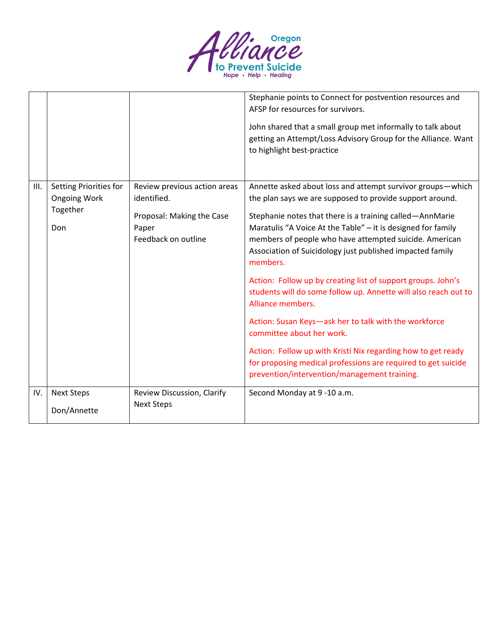

|      |                                                                  |                                                                                                          | Stephanie points to Connect for postvention resources and<br>AFSP for resources for survivors.<br>John shared that a small group met informally to talk about<br>getting an Attempt/Loss Advisory Group for the Alliance. Want<br>to highlight best-practice                                                                                                                                                                                                                                                                                                                                                                                                                                                                                                                                                         |
|------|------------------------------------------------------------------|----------------------------------------------------------------------------------------------------------|----------------------------------------------------------------------------------------------------------------------------------------------------------------------------------------------------------------------------------------------------------------------------------------------------------------------------------------------------------------------------------------------------------------------------------------------------------------------------------------------------------------------------------------------------------------------------------------------------------------------------------------------------------------------------------------------------------------------------------------------------------------------------------------------------------------------|
| III. | Setting Priorities for<br><b>Ongoing Work</b><br>Together<br>Don | Review previous action areas<br>identified.<br>Proposal: Making the Case<br>Paper<br>Feedback on outline | Annette asked about loss and attempt survivor groups-which<br>the plan says we are supposed to provide support around.<br>Stephanie notes that there is a training called-AnnMarie<br>Maratulis "A Voice At the Table" - it is designed for family<br>members of people who have attempted suicide. American<br>Association of Suicidology just published impacted family<br>members.<br>Action: Follow up by creating list of support groups. John's<br>students will do some follow up. Annette will also reach out to<br>Alliance members.<br>Action: Susan Keys-ask her to talk with the workforce<br>committee about her work.<br>Action: Follow up with Kristi Nix regarding how to get ready<br>for proposing medical professions are required to get suicide<br>prevention/intervention/management training. |
| IV.  | <b>Next Steps</b><br>Don/Annette                                 | Review Discussion, Clarify<br><b>Next Steps</b>                                                          | Second Monday at 9-10 a.m.                                                                                                                                                                                                                                                                                                                                                                                                                                                                                                                                                                                                                                                                                                                                                                                           |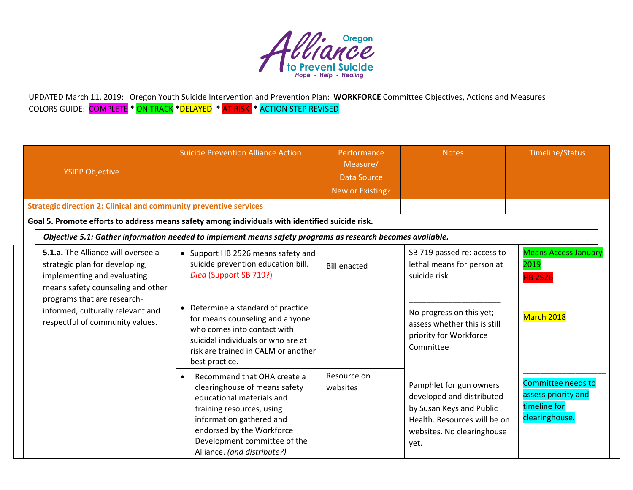

UPDATED March 11, 2019: Oregon Youth Suicide Intervention and Prevention Plan: **WORKFORCE** Committee Objectives, Actions and Measures COLORS GUIDE: <mark>COMPLETE</mark> \* <mark>ON TRACK</mark> \*<mark>DELAYED</mark> \* <mark>AT RISK </mark> \* ACTION STEP REVISED

| <b>YSIPP Objective</b>                                                                                                                                                  | <b>Suicide Prevention Alliance Action</b>                                                                                                                                                                                                                   | Performance<br>Measure/<br>Data Source<br>New or Existing? | <b>Notes</b>                                                                                                                                           | <b>Timeline/Status</b>                                                      |
|-------------------------------------------------------------------------------------------------------------------------------------------------------------------------|-------------------------------------------------------------------------------------------------------------------------------------------------------------------------------------------------------------------------------------------------------------|------------------------------------------------------------|--------------------------------------------------------------------------------------------------------------------------------------------------------|-----------------------------------------------------------------------------|
| <b>Strategic direction 2: Clinical and community preventive services</b>                                                                                                |                                                                                                                                                                                                                                                             |                                                            |                                                                                                                                                        |                                                                             |
|                                                                                                                                                                         | Goal 5. Promote efforts to address means safety among individuals with identified suicide risk.                                                                                                                                                             |                                                            |                                                                                                                                                        |                                                                             |
|                                                                                                                                                                         | Objective 5.1: Gather information needed to implement means safety programs as research becomes available.                                                                                                                                                  |                                                            |                                                                                                                                                        |                                                                             |
| 5.1.a. The Alliance will oversee a<br>strategic plan for developing,<br>implementing and evaluating<br>means safety counseling and other<br>programs that are research- | • Support HB 2526 means safety and<br>suicide prevention education bill.<br>Died (Support SB 719?)                                                                                                                                                          | <b>Bill enacted</b>                                        | SB 719 passed re: access to<br>lethal means for person at<br>suicide risk                                                                              | <b>Means Access January</b><br>2019<br><b>HB 2526</b>                       |
| informed, culturally relevant and<br>respectful of community values.                                                                                                    | • Determine a standard of practice<br>for means counseling and anyone<br>who comes into contact with<br>suicidal individuals or who are at<br>risk are trained in CALM or another<br>best practice.                                                         |                                                            | No progress on this yet;<br>assess whether this is still<br>priority for Workforce<br>Committee                                                        | March 2018                                                                  |
|                                                                                                                                                                         | Recommend that OHA create a<br>$\bullet$<br>clearinghouse of means safety<br>educational materials and<br>training resources, using<br>information gathered and<br>endorsed by the Workforce<br>Development committee of the<br>Alliance. (and distribute?) | Resource on<br>websites                                    | Pamphlet for gun owners<br>developed and distributed<br>by Susan Keys and Public<br>Health. Resources will be on<br>websites. No clearinghouse<br>yet. | Committee needs to<br>assess priority and<br>timeline for<br>clearinghouse. |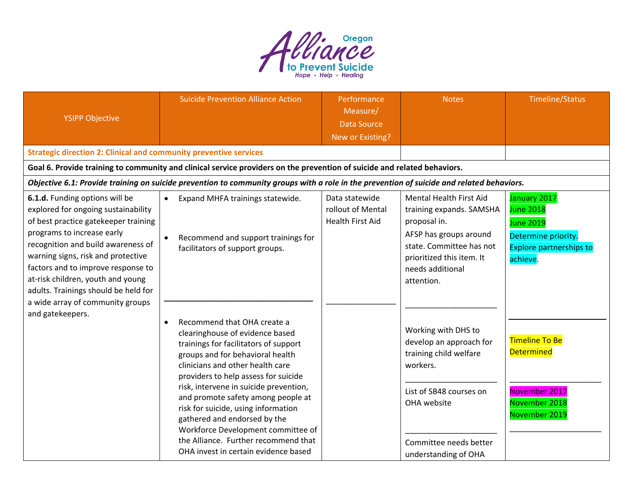

| <b>YSIPP Objective</b>                                                                                                                                                                                                                                                                                                                     | <b>Suicide Prevention Alliance Action</b>                                                                                                                                                                                                                                                                                                                                                                                                                                                                         | Performance<br>Measure/<br><b>Data Source</b><br>New or Existing? | <b>Notes</b>                                                                                                                                                                             | Timeline/Status                                                                                                           |
|--------------------------------------------------------------------------------------------------------------------------------------------------------------------------------------------------------------------------------------------------------------------------------------------------------------------------------------------|-------------------------------------------------------------------------------------------------------------------------------------------------------------------------------------------------------------------------------------------------------------------------------------------------------------------------------------------------------------------------------------------------------------------------------------------------------------------------------------------------------------------|-------------------------------------------------------------------|------------------------------------------------------------------------------------------------------------------------------------------------------------------------------------------|---------------------------------------------------------------------------------------------------------------------------|
| <b>Strategic direction 2: Clinical and community preventive services</b>                                                                                                                                                                                                                                                                   |                                                                                                                                                                                                                                                                                                                                                                                                                                                                                                                   |                                                                   |                                                                                                                                                                                          |                                                                                                                           |
|                                                                                                                                                                                                                                                                                                                                            | Goal 6. Provide training to community and clinical service providers on the prevention of suicide and related behaviors.                                                                                                                                                                                                                                                                                                                                                                                          |                                                                   |                                                                                                                                                                                          |                                                                                                                           |
|                                                                                                                                                                                                                                                                                                                                            | Objective 6.1: Provide training on suicide prevention to community groups with a role in the prevention of suicide and related behaviors.                                                                                                                                                                                                                                                                                                                                                                         |                                                                   |                                                                                                                                                                                          |                                                                                                                           |
| 6.1.d. Funding options will be<br>explored for ongoing sustainability<br>of best practice gatekeeper training<br>programs to increase early<br>recognition and build awareness of<br>warning signs, risk and protective<br>factors and to improve response to<br>at-risk children, youth and young<br>adults. Trainings should be held for | Expand MHFA trainings statewide.<br>$\bullet$<br>Recommend and support trainings for<br>facilitators of support groups.                                                                                                                                                                                                                                                                                                                                                                                           | Data statewide<br>rollout of Mental<br><b>Health First Aid</b>    | Mental Health First Aid<br>training expands. SAMSHA<br>proposal in.<br>AFSP has groups around<br>state. Committee has not<br>prioritized this item. It<br>needs additional<br>attention. | January 2017<br><b>June 2018</b><br><b>June 2019</b><br>Determine priority.<br><b>Explore partnerships to</b><br>achieve. |
| a wide array of community groups<br>and gatekeepers.                                                                                                                                                                                                                                                                                       | Recommend that OHA create a<br>$\bullet$<br>clearinghouse of evidence based<br>trainings for facilitators of support<br>groups and for behavioral health<br>clinicians and other health care<br>providers to help assess for suicide<br>risk, intervene in suicide prevention,<br>and promote safety among people at<br>risk for suicide, using information<br>gathered and endorsed by the<br>Workforce Development committee of<br>the Alliance. Further recommend that<br>OHA invest in certain evidence based |                                                                   | Working with DHS to<br>develop an approach for<br>training child welfare<br>workers.<br>List of SB48 courses on<br>OHA website<br>Committee needs better<br>understanding of OHA         | <b>Timeline To Be</b><br><b>Determined</b><br>November 2017<br>November 2018<br>November 2019                             |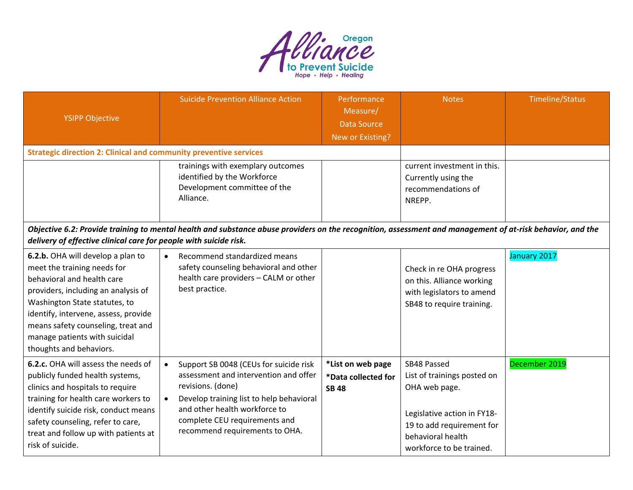

| <b>YSIPP Objective</b>                                                                                                                                                                                                                                                                                           | <b>Suicide Prevention Alliance Action</b>                                                                                                                                                                                                                                      | Performance<br>Measure/<br><b>Data Source</b><br>New or Existing? | <b>Notes</b>                                                                                                                                                             | <b>Timeline/Status</b> |  |  |
|------------------------------------------------------------------------------------------------------------------------------------------------------------------------------------------------------------------------------------------------------------------------------------------------------------------|--------------------------------------------------------------------------------------------------------------------------------------------------------------------------------------------------------------------------------------------------------------------------------|-------------------------------------------------------------------|--------------------------------------------------------------------------------------------------------------------------------------------------------------------------|------------------------|--|--|
| <b>Strategic direction 2: Clinical and community preventive services</b>                                                                                                                                                                                                                                         |                                                                                                                                                                                                                                                                                |                                                                   |                                                                                                                                                                          |                        |  |  |
|                                                                                                                                                                                                                                                                                                                  | trainings with exemplary outcomes<br>identified by the Workforce<br>Development committee of the<br>Alliance.                                                                                                                                                                  |                                                                   | current investment in this.<br>Currently using the<br>recommendations of<br>NREPP.                                                                                       |                        |  |  |
|                                                                                                                                                                                                                                                                                                                  | Objective 6.2: Provide training to mental health and substance abuse providers on the recognition, assessment and management of at-risk behavior, and the<br>delivery of effective clinical care for people with suicide risk.                                                 |                                                                   |                                                                                                                                                                          |                        |  |  |
| 6.2.b. OHA will develop a plan to<br>meet the training needs for<br>behavioral and health care<br>providers, including an analysis of<br>Washington State statutes, to<br>identify, intervene, assess, provide<br>means safety counseling, treat and<br>manage patients with suicidal<br>thoughts and behaviors. | Recommend standardized means<br>$\bullet$<br>safety counseling behavioral and other<br>health care providers - CALM or other<br>best practice.                                                                                                                                 |                                                                   | Check in re OHA progress<br>on this. Alliance working<br>with legislators to amend<br>SB48 to require training.                                                          | January 2017           |  |  |
| 6.2.c. OHA will assess the needs of<br>publicly funded health systems,<br>clinics and hospitals to require<br>training for health care workers to<br>identify suicide risk, conduct means<br>safety counseling, refer to care,<br>treat and follow up with patients at<br>risk of suicide.                       | Support SB 0048 (CEUs for suicide risk<br>$\bullet$<br>assessment and intervention and offer<br>revisions. (done)<br>Develop training list to help behavioral<br>$\bullet$<br>and other health workforce to<br>complete CEU requirements and<br>recommend requirements to OHA. | *List on web page<br>*Data collected for<br><b>SB 48</b>          | SB48 Passed<br>List of trainings posted on<br>OHA web page.<br>Legislative action in FY18-<br>19 to add requirement for<br>behavioral health<br>workforce to be trained. | December 2019          |  |  |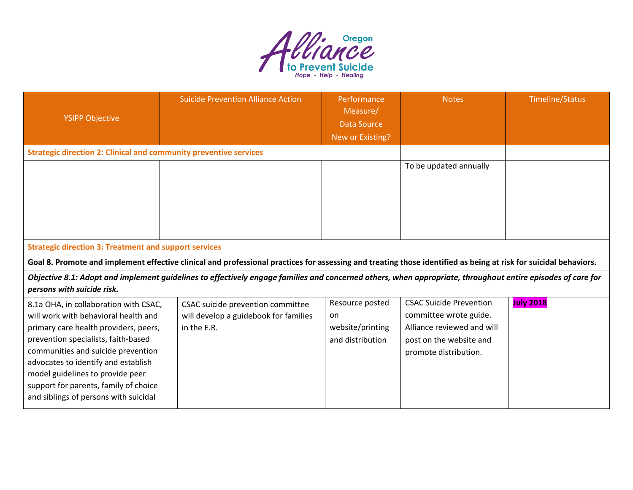

| <b>YSIPP Objective</b>                                                                                                                                                                                                                                                                                                                                           | <b>Suicide Prevention Alliance Action</b>                                                                                                                        | Performance<br>Measure/<br><b>Data Source</b><br>New or Existing? | <b>Notes</b>                                                                                                                               | Timeline/Status  |  |
|------------------------------------------------------------------------------------------------------------------------------------------------------------------------------------------------------------------------------------------------------------------------------------------------------------------------------------------------------------------|------------------------------------------------------------------------------------------------------------------------------------------------------------------|-------------------------------------------------------------------|--------------------------------------------------------------------------------------------------------------------------------------------|------------------|--|
| <b>Strategic direction 2: Clinical and community preventive services</b>                                                                                                                                                                                                                                                                                         |                                                                                                                                                                  |                                                                   |                                                                                                                                            |                  |  |
|                                                                                                                                                                                                                                                                                                                                                                  |                                                                                                                                                                  |                                                                   | To be updated annually                                                                                                                     |                  |  |
| <b>Strategic direction 3: Treatment and support services</b>                                                                                                                                                                                                                                                                                                     |                                                                                                                                                                  |                                                                   |                                                                                                                                            |                  |  |
|                                                                                                                                                                                                                                                                                                                                                                  | Goal 8. Promote and implement effective clinical and professional practices for assessing and treating those identified as being at risk for suicidal behaviors. |                                                                   |                                                                                                                                            |                  |  |
| Objective 8.1: Adopt and implement guidelines to effectively engage families and concerned others, when appropriate, throughout entire episodes of care for<br>persons with suicide risk.                                                                                                                                                                        |                                                                                                                                                                  |                                                                   |                                                                                                                                            |                  |  |
| 8.1a OHA, in collaboration with CSAC,<br>will work with behavioral health and<br>primary care health providers, peers,<br>prevention specialists, faith-based<br>communities and suicide prevention<br>advocates to identify and establish<br>model guidelines to provide peer<br>support for parents, family of choice<br>and siblings of persons with suicidal | CSAC suicide prevention committee<br>will develop a guidebook for families<br>in the E.R.                                                                        | Resource posted<br>on<br>website/printing<br>and distribution     | <b>CSAC Suicide Prevention</b><br>committee wrote guide.<br>Alliance reviewed and will<br>post on the website and<br>promote distribution. | <b>July 2018</b> |  |